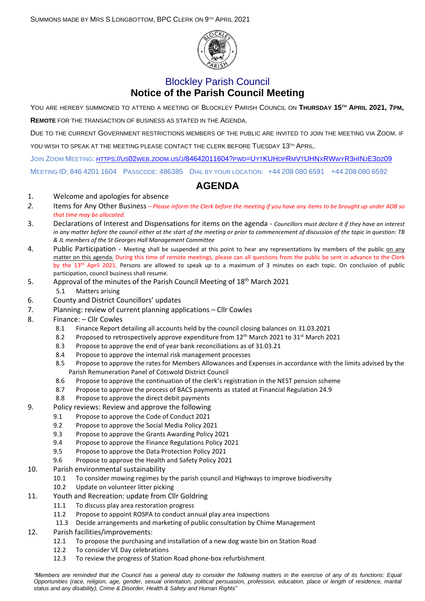

## Blockley Parish Council **Notice of the Parish Council Meeting**

YOU ARE HEREBY SUMMONED TO ATTEND A MEETING OF BLOCKLEY PARISH COUNCIL ON **THURSDAY 15TH APRIL 2021, 7PM,**

**REMOTE** FOR THE TRANSACTION OF BUSINESS AS STATED IN THE AGENDA.

DUE TO THE CURRENT GOVERNMENT RESTRICTIONS MEMBERS OF THE PUBLIC ARE INVITED TO JOIN THE MEETING VIA ZOOM. IF YOU WISH TO SPEAK AT THE MEETING PLEASE CONTACT THE CLERK BEFORE TUESDAY 13TH APRIL.

JOIN ZOOM MEETING: HTTPS://US02WEB.ZOOM.US/J[/84642011604?](https://us02web.zoom.us/j/84642011604?pwd=UytKUHdpRmVtUHNxRWwyR3hINjE3dz09)PWD=UYTKUHDPRMVTUHNXRWWYR3HINJE3DZ09

MEETING ID: 846 4201 1604 PASSCODE: 486385 DIAL BY YOUR LOCATION: +44 208 080 6591 +44 208 080 6592

## **AGENDA**

## 1. Welcome and apologies for absence

- *2.* Items for Any Other Business *– Please inform the Clerk before the meeting if you have any items to be brought up under AOB so that time may be allocated.*
- 3. Declarations of Interest and Dispensations for items on the agenda *Councillors must declare it if they have an interest in any matter before the council either at the start of the meeting or prior to commencement of discussion of the topic in question: TB & JL members of the St Georges Hall Management Committee*
- 4. Public Participation Meeting shall be suspended at this point to hear any representations by members of the public on any matter on this agenda. During this time of remote meetings, please can all questions from the public be sent in advance to the Clerk by the 13<sup>th</sup> April 2021. Persons are allowed to speak up to a maximum of 3 minutes on each topic. On conclusion of public participation, council business shall resume.
- 5. Approval of the minutes of the Parish Council Meeting of 18<sup>th</sup> March 2021
	- 5.1 Matters arising
- 6. County and District Councillors' updates
- 7. Planning: review of current planning applications Cllr Cowles
- 8. Finance: Cllr Cowles
	- 8.1 Finance Report detailing all accounts held by the council closing balances on 31.03.2021
	- 8.2 Proposed to retrospectively approve expenditure from  $12^{th}$  March 2021 to 31<sup>st</sup> March 2021
	- 8.3 Propose to approve the end of year bank reconciliations as of 31.03.21
	- 8.4 Propose to approve the internal risk management processes
	- 8.5 Propose to approve the rates for Members Allowances and Expenses in accordance with the limits advised by the Parish Remuneration Panel of Cotswold District Council
	- 8.6 Propose to approve the continuation of the clerk's registration in the NEST pension scheme
	- 8.7 Propose to approve the process of BACS payments as stated at Financial Regulation 24.9
	- 8.8 Propose to approve the direct debit payments

## 9. Policy reviews: Review and approve the following

- 9.1 Propose to approve the Code of Conduct 2021
- 9.2 Propose to approve the Social Media Policy 2021
- 9.3 Propose to approve the Grants Awarding Policy 2021
- 9.4 Propose to approve the Finance Regulations Policy 2021
- 9.5 Propose to approve the Data Protection Policy 2021
- 9.6 Propose to approve the Health and Safety Policy 2021
- 10. Parish environmental sustainability
	- 10.1 To consider mowing regimes by the parish council and Highways to improve biodiversity
	- 10.2 Update on volunteer litter picking
- 11. Youth and Recreation: update from Cllr Goldring
	- 11.1 To discuss play area restoration progress<br>11.2 Propose to appoint ROSPA to conduct an
	- Propose to appoint ROSPA to conduct annual play area inspections
	- 11.3 Decide arrangements and marketing of public consultation by Chime Management
- 12. Parish facilities/improvements:
	- 12.1 To propose the purchasing and installation of a new dog waste bin on Station Road
	- 12.2 To consider VE Day celebrations
	- 12.3 To review the progress of Station Road phone-box refurbishment

*"Members are reminded that the Council has a general duty to consider the following matters in the exercise of any of its functions: Equal Opportunities (race, religion, age, gender, sexual orientation, political persuasion, profession, education, place or length of residence, marital status and any disability), Crime & Disorder, Health & Safety and Human Rights"*